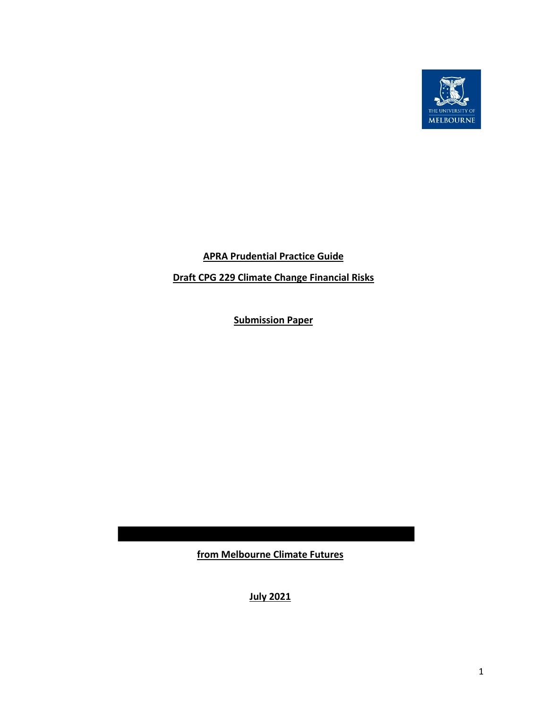

# **APRA Prudential Practice Guide**

# **Draft CPG 229 Climate Change Financial Risks**

**Submission Paper**

**from Melbourne Climate Futures**

**July 2021**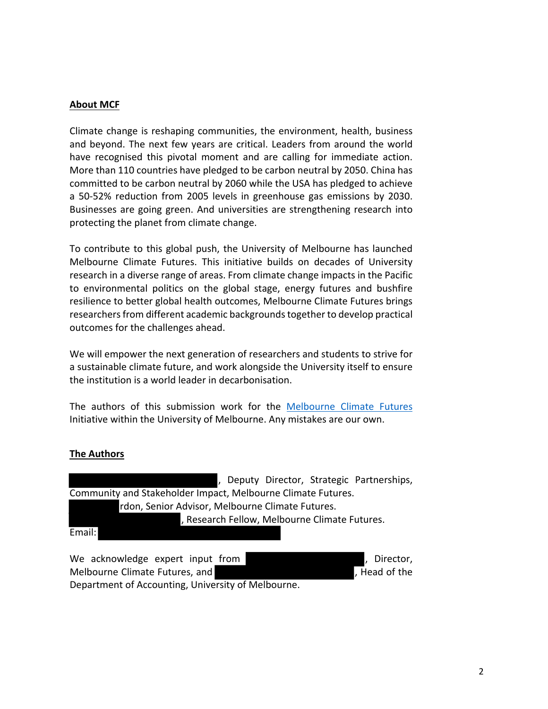#### **About MCF**

Climate change is reshaping communities, the environment, health, business and beyond. The next few years are critical. Leaders from around the world have recognised this pivotal moment and are calling for immediate action. More than 110 countries have pledged to be carbon neutral by 2050. China has committed to be carbon neutral by 2060 while the USA has pledged to achieve a 50-52% reduction from 2005 levels in greenhouse gas emissions by 2030. Businesses are going green. And universities are strengthening research into protecting the planet from climate change.

To contribute to this global push, the University of Melbourne has launched Melbourne Climate Futures. This initiative builds on decades of University research in a diverse range of areas. From climate change impacts in the Pacific to environmental politics on the global stage, energy futures and bushfire resilience to better global health outcomes, Melbourne Climate Futures brings researchers from different academic backgrounds together to develop practical outcomes for the challenges ahead.

We will empower the next generation of researchers and students to strive for a sustainable climate future, and work alongside the University itself to ensure the institution is a world leader in decarbonisation.

The authors of this submission work for the Melbourne Climate Futures Initiative within the University of Melbourne. Any mistakes are our own.

#### **The Authors**

, Deputy Director, Strategic Partnerships, Community and Stakeholder Impact, Melbourne Climate Futures. rdon, Senior Advisor, Melbourne Climate Futures. , Research Fellow, Melbourne Climate Futures. Email:

We acknowledge expert input from **the same of the set of the set of the set of the set of the set of the set of the set of the set of the set of the set of the set of the set of the set of the set of the set of the set of** Melbourne Climate Futures, and  $\blacksquare$ , Head of the , Head of the Department of Accounting, University of Melbourne.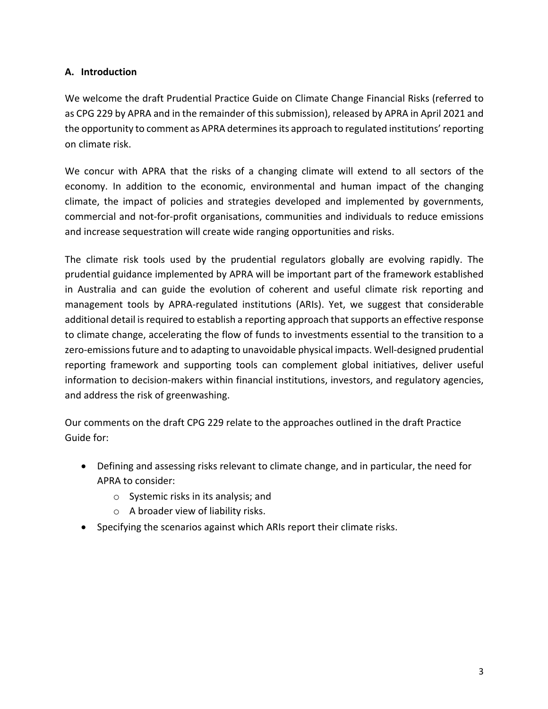## **A. Introduction**

We welcome the draft Prudential Practice Guide on Climate Change Financial Risks (referred to as CPG 229 by APRA and in the remainder of this submission), released by APRA in April 2021 and the opportunity to comment as APRA determines its approach to regulated institutions'reporting on climate risk.

We concur with APRA that the risks of a changing climate will extend to all sectors of the economy. In addition to the economic, environmental and human impact of the changing climate, the impact of policies and strategies developed and implemented by governments, commercial and not-for-profit organisations, communities and individuals to reduce emissions and increase sequestration will create wide ranging opportunities and risks.

The climate risk tools used by the prudential regulators globally are evolving rapidly. The prudential guidance implemented by APRA will be important part of the framework established in Australia and can guide the evolution of coherent and useful climate risk reporting and management tools by APRA-regulated institutions (ARIs). Yet, we suggest that considerable additional detail is required to establish a reporting approach that supports an effective response to climate change, accelerating the flow of funds to investments essential to the transition to a zero-emissions future and to adapting to unavoidable physical impacts. Well-designed prudential reporting framework and supporting tools can complement global initiatives, deliver useful information to decision-makers within financial institutions, investors, and regulatory agencies, and address the risk of greenwashing.

Our comments on the draft CPG 229 relate to the approaches outlined in the draft Practice Guide for:

- Defining and assessing risks relevant to climate change, and in particular, the need for APRA to consider:
	- o Systemic risks in its analysis; and
	- o A broader view of liability risks.
- Specifying the scenarios against which ARIs report their climate risks.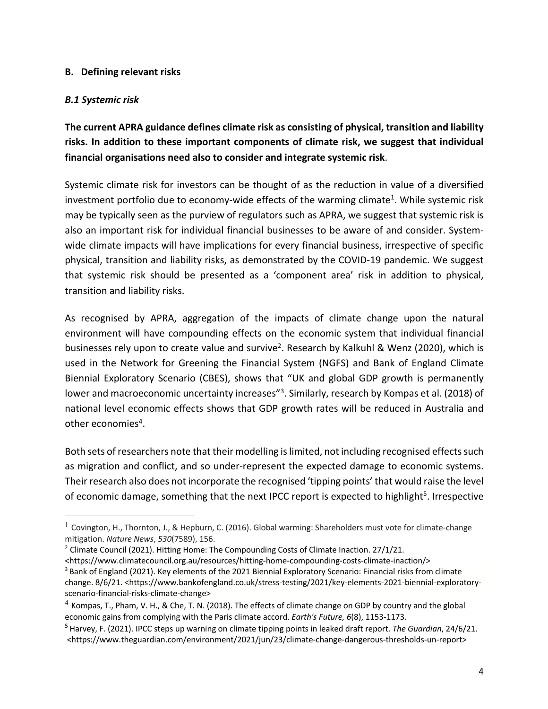### **B. Defining relevant risks**

### *B.1 Systemic risk*

**The current APRA guidance defines climate risk as consisting of physical, transition and liability risks. In addition to these important components of climate risk, we suggest that individual financial organisations need also to consider and integrate systemic risk**.

Systemic climate risk for investors can be thought of as the reduction in value of a diversified investment portfolio due to economy-wide effects of the warming climate<sup>1</sup>. While systemic risk may be typically seen as the purview of regulators such as APRA, we suggest that systemic risk is also an important risk for individual financial businesses to be aware of and consider. Systemwide climate impacts will have implications for every financial business, irrespective of specific physical, transition and liability risks, as demonstrated by the COVID-19 pandemic. We suggest that systemic risk should be presented as a 'component area' risk in addition to physical, transition and liability risks.

As recognised by APRA, aggregation of the impacts of climate change upon the natural environment will have compounding effects on the economic system that individual financial businesses rely upon to create value and survive<sup>2</sup>. Research by Kalkuhl & Wenz (2020), which is used in the Network for Greening the Financial System (NGFS) and Bank of England Climate Biennial Exploratory Scenario (CBES), shows that "UK and global GDP growth is permanently lower and macroeconomic uncertainty increases"<sup>3</sup>. Similarly, research by Kompas et al. (2018) of national level economic effects shows that GDP growth rates will be reduced in Australia and other economies<sup>4</sup>.

Both sets of researchers note that their modelling is limited, not including recognised effects such as migration and conflict, and so under-represent the expected damage to economic systems. Their research also does not incorporate the recognised 'tipping points' that would raise the level of economic damage, something that the next IPCC report is expected to highlight<sup>5</sup>. Irrespective

<sup>&</sup>lt;sup>1</sup> Covington, H., Thornton, J., & Hepburn, C. (2016). Global warming: Shareholders must vote for climate-change mitigation. *Nature News*, *530*(7589), 156.

<sup>&</sup>lt;sup>2</sup> Climate Council (2021). Hitting Home: The Compounding Costs of Climate Inaction. 27/1/21.

<sup>&</sup>lt;https://www.climatecouncil.org.au/resources/hitting-home-compounding-costs-climate-inaction/> <sup>3</sup> Bank of England (2021). Key elements of the 2021 Biennial Exploratory Scenario: Financial risks from climate change. 8/6/21. <https://www.bankofengland.co.uk/stress-testing/2021/key-elements-2021-biennial-exploratoryscenario-financial-risks-climate-change>

 $4$  Kompas, T., Pham, V. H., & Che, T. N. (2018). The effects of climate change on GDP by country and the global economic gains from complying with the Paris climate accord. *Earth's Future, 6*(8), 1153-1173.

<sup>5</sup> Harvey, F. (2021). IPCC steps up warning on climate tipping points in leaked draft report. *The Guardian*, 24/6/21. <https://www.theguardian.com/environment/2021/jun/23/climate-change-dangerous-thresholds-un-report>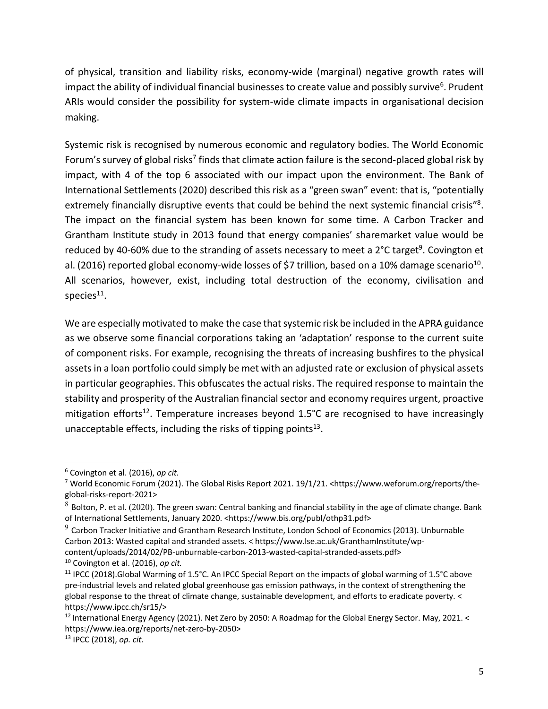of physical, transition and liability risks, economy-wide (marginal) negative growth rates will impact the ability of individual financial businesses to create value and possibly survive<sup>6</sup>. Prudent ARIs would consider the possibility for system-wide climate impacts in organisational decision making.

Systemic risk is recognised by numerous economic and regulatory bodies. The World Economic Forum's survey of global risks<sup>7</sup> finds that climate action failure is the second-placed global risk by impact, with 4 of the top 6 associated with our impact upon the environment. The Bank of International Settlements (2020) described this risk as a "green swan" event: that is, "potentially extremely financially disruptive events that could be behind the next systemic financial crisis"<sup>8</sup>. The impact on the financial system has been known for some time. A Carbon Tracker and Grantham Institute study in 2013 found that energy companies' sharemarket value would be reduced by 40-60% due to the stranding of assets necessary to meet a  $2^{\circ}$ C target<sup>9</sup>. Covington et al. (2016) reported global economy-wide losses of \$7 trillion, based on a 10% damage scenario<sup>10</sup>. All scenarios, however, exist, including total destruction of the economy, civilisation and species $11$ .

We are especially motivated to make the case that systemic risk be included in the APRA guidance as we observe some financial corporations taking an 'adaptation' response to the current suite of component risks. For example, recognising the threats of increasing bushfires to the physical assets in a loan portfolio could simply be met with an adjusted rate or exclusion of physical assets in particular geographies. This obfuscates the actual risks. The required response to maintain the stability and prosperity of the Australian financial sector and economy requires urgent, proactive mitigation efforts<sup>12</sup>. Temperature increases beyond  $1.5^{\circ}$ C are recognised to have increasingly unacceptable effects, including the risks of tipping points $13$ .

<sup>6</sup> Covington et al. (2016), *op cit.*

<sup>&</sup>lt;sup>7</sup> World Economic Forum (2021). The Global Risks Report 2021. 19/1/21. <https://www.weforum.org/reports/theglobal-risks-report-2021>

 $8$  Bolton, P. et al. (2020). The green swan: Central banking and financial stability in the age of climate change. Bank of International Settlements, January 2020. <https://www.bis.org/publ/othp31.pdf>

 $9$  Carbon Tracker Initiative and Grantham Research Institute, London School of Economics (2013). Unburnable Carbon 2013: Wasted capital and stranded assets. < https://www.lse.ac.uk/GranthamInstitute/wpcontent/uploads/2014/02/PB-unburnable-carbon-2013-wasted-capital-stranded-assets.pdf>

<sup>10</sup> Covington et al. (2016), *op cit.*

<sup>&</sup>lt;sup>11</sup> IPCC (2018).Global Warming of 1.5°C. An IPCC Special Report on the impacts of global warming of 1.5°C above pre-industrial levels and related global greenhouse gas emission pathways, in the context of strengthening the global response to the threat of climate change, sustainable development, and efforts to eradicate poverty. < https://www.ipcc.ch/sr15/>

<sup>&</sup>lt;sup>12</sup> International Energy Agency (2021). Net Zero by 2050: A Roadmap for the Global Energy Sector. May, 2021. < https://www.iea.org/reports/net-zero-by-2050>

<sup>13</sup> IPCC (2018), *op. cit.*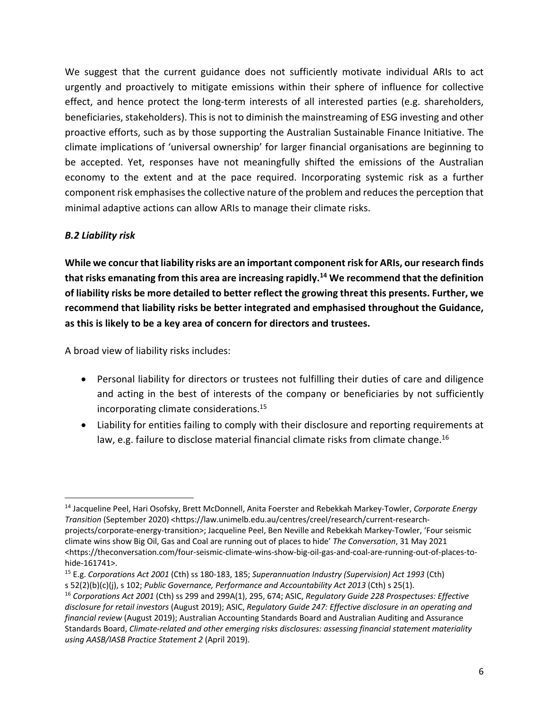We suggest that the current guidance does not sufficiently motivate individual ARIs to act urgently and proactively to mitigate emissions within their sphere of influence for collective effect, and hence protect the long-term interests of all interested parties (e.g. shareholders, beneficiaries, stakeholders). This is not to diminish the mainstreaming of ESG investing and other proactive efforts, such as by those supporting the Australian Sustainable Finance Initiative. The climate implications of 'universal ownership' for larger financial organisations are beginning to be accepted. Yet, responses have not meaningfully shifted the emissions of the Australian economy to the extent and at the pace required. Incorporating systemic risk as a further component risk emphasises the collective nature of the problem and reduces the perception that minimal adaptive actions can allow ARIs to manage their climate risks.

### *B.2 Liability risk*

**While we concur that liability risks are an important component risk for ARIs, our research finds that risks emanating from this area are increasing rapidly.14 We recommend that the definition of liability risks be more detailed to better reflect the growing threat this presents. Further, we recommend that liability risks be better integrated and emphasised throughout the Guidance, as this is likely to be a key area of concern for directors and trustees.**

A broad view of liability risks includes:

- Personal liability for directors or trustees not fulfilling their duties of care and diligence and acting in the best of interests of the company or beneficiaries by not sufficiently incorporating climate considerations. 15
- Liability for entities failing to comply with their disclosure and reporting requirements at law, e.g. failure to disclose material financial climate risks from climate change.<sup>16</sup>

<sup>14</sup> Jacqueline Peel, Hari Osofsky, Brett McDonnell, Anita Foerster and Rebekkah Markey-Towler, *Corporate Energy Transition* (September 2020) <https://law.unimelb.edu.au/centres/creel/research/current-researchprojects/corporate-energy-transition>; Jacqueline Peel, Ben Neville and Rebekkah Markey-Towler, 'Four seismic climate wins show Big Oil, Gas and Coal are running out of places to hide' *The Conversation*, 31 May 2021 <https://theconversation.com/four-seismic-climate-wins-show-big-oil-gas-and-coal-are-running-out-of-places-tohide-161741>.

<sup>15</sup> E.g. *Corporations Act 2001* (Cth) ss 180-183, 185; *Superannuation Industry (Supervision) Act 1993* (Cth) s 52(2)(b)(c)(j), s 102; *Public Governance, Performance and Accountability Act 2013* (Cth) s 25(1).

<sup>16</sup> *Corporations Act 2001* (Cth) ss 299 and 299A(1), 295, 674; ASIC, *Regulatory Guide 228 Prospectuses: Effective disclosure for retail investors* (August 2019); ASIC, *Regulatory Guide 247: Effective disclosure in an operating and financial review* (August 2019); Australian Accounting Standards Board and Australian Auditing and Assurance Standards Board, *Climate-related and other emerging risks disclosures: assessing financial statement materiality using AASB/IASB Practice Statement 2* (April 2019).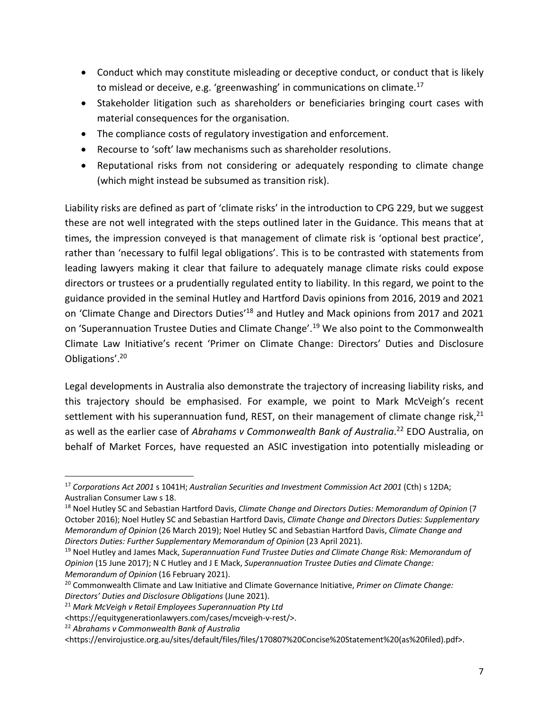- Conduct which may constitute misleading or deceptive conduct, or conduct that is likely to mislead or deceive, e.g. 'greenwashing' in communications on climate.<sup>17</sup>
- Stakeholder litigation such as shareholders or beneficiaries bringing court cases with material consequences for the organisation.
- The compliance costs of regulatory investigation and enforcement.
- Recourse to 'soft' law mechanisms such as shareholder resolutions.
- Reputational risks from not considering or adequately responding to climate change (which might instead be subsumed as transition risk).

Liability risks are defined as part of 'climate risks' in the introduction to CPG 229, but we suggest these are not well integrated with the steps outlined later in the Guidance. This means that at times, the impression conveyed is that management of climate risk is 'optional best practice', rather than 'necessary to fulfil legal obligations'. This is to be contrasted with statements from leading lawyers making it clear that failure to adequately manage climate risks could expose directors or trustees or a prudentially regulated entity to liability. In this regard, we point to the guidance provided in the seminal Hutley and Hartford Davis opinions from 2016, 2019 and 2021 on 'Climate Change and Directors Duties<sup>'18</sup> and Hutley and Mack opinions from 2017 and 2021 on 'Superannuation Trustee Duties and Climate Change'.<sup>19</sup> We also point to the Commonwealth Climate Law Initiative's recent 'Primer on Climate Change: Directors' Duties and Disclosure Obligations'.20

Legal developments in Australia also demonstrate the trajectory of increasing liability risks, and this trajectory should be emphasised. For example, we point to Mark McVeigh's recent settlement with his superannuation fund, REST, on their management of climate change risk, $21$ as well as the earlier case of *Abrahams v Commonwealth Bank of Australia*. <sup>22</sup> EDO Australia, on behalf of Market Forces, have requested an ASIC investigation into potentially misleading or

<sup>17</sup> *Corporations Act 2001* s 1041H; *Australian Securities and Investment Commission Act 2001* (Cth) s 12DA; Australian Consumer Law s 18.

<sup>18</sup> Noel Hutley SC and Sebastian Hartford Davis, *Climate Change and Directors Duties: Memorandum of Opinion* (7 October 2016); Noel Hutley SC and Sebastian Hartford Davis, *Climate Change and Directors Duties: Supplementary Memorandum of Opinion* (26 March 2019); Noel Hutley SC and Sebastian Hartford Davis, *Climate Change and Directors Duties: Further Supplementary Memorandum of Opinion* (23 April 2021).

<sup>19</sup> Noel Hutley and James Mack, *Superannuation Fund Trustee Duties and Climate Change Risk: Memorandum of Opinion* (15 June 2017); N C Hutley and J E Mack, *Superannuation Trustee Duties and Climate Change: Memorandum of Opinion* (16 February 2021).

<sup>20</sup> Commonwealth Climate and Law Initiative and Climate Governance Initiative, *Primer on Climate Change: Directors' Duties and Disclosure Obligations* (June 2021).

<sup>21</sup> *Mark McVeigh v Retail Employees Superannuation Pty Ltd* 

<sup>&</sup>lt;https://equitygenerationlawyers.com/cases/mcveigh-v-rest/>.

<sup>22</sup> *Abrahams v Commonwealth Bank of Australia* 

<sup>&</sup>lt;https://envirojustice.org.au/sites/default/files/files/170807%20Concise%20Statement%20(as%20filed).pdf>.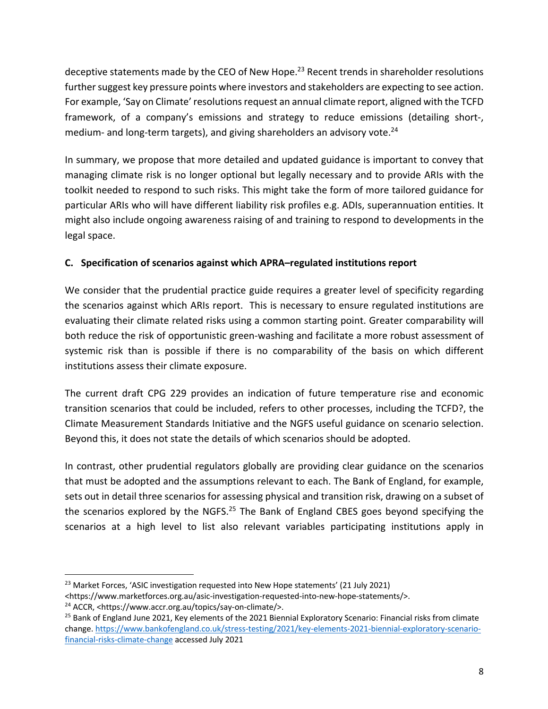deceptive statements made by the CEO of New Hope. $^{23}$  Recent trends in shareholder resolutions further suggest key pressure points where investors and stakeholders are expecting to see action. For example, 'Say on Climate' resolutions request an annual climate report, aligned with the TCFD framework, of a company's emissions and strategy to reduce emissions (detailing short-, medium- and long-term targets), and giving shareholders an advisory vote.<sup>24</sup>

In summary, we propose that more detailed and updated guidance is important to convey that managing climate risk is no longer optional but legally necessary and to provide ARIs with the toolkit needed to respond to such risks. This might take the form of more tailored guidance for particular ARIs who will have different liability risk profiles e.g. ADIs, superannuation entities. It might also include ongoing awareness raising of and training to respond to developments in the legal space.

## **C. Specification of scenarios against which APRA–regulated institutions report**

We consider that the prudential practice guide requires a greater level of specificity regarding the scenarios against which ARIs report. This is necessary to ensure regulated institutions are evaluating their climate related risks using a common starting point. Greater comparability will both reduce the risk of opportunistic green-washing and facilitate a more robust assessment of systemic risk than is possible if there is no comparability of the basis on which different institutions assess their climate exposure.

The current draft CPG 229 provides an indication of future temperature rise and economic transition scenarios that could be included, refers to other processes, including the TCFD?, the Climate Measurement Standards Initiative and the NGFS useful guidance on scenario selection. Beyond this, it does not state the details of which scenarios should be adopted.

In contrast, other prudential regulators globally are providing clear guidance on the scenarios that must be adopted and the assumptions relevant to each. The Bank of England, for example, sets out in detail three scenarios for assessing physical and transition risk, drawing on a subset of the scenarios explored by the NGFS.<sup>25</sup> The Bank of England CBES goes beyond specifying the scenarios at a high level to list also relevant variables participating institutions apply in

 $23$  Market Forces, 'ASIC investigation requested into New Hope statements' (21 July 2021)

<sup>&</sup>lt;https://www.marketforces.org.au/asic-investigation-requested-into-new-hope-statements/>.

<sup>24</sup> ACCR, <https://www.accr.org.au/topics/say-on-climate/>.

<sup>&</sup>lt;sup>25</sup> Bank of England June 2021, Key elements of the 2021 Biennial Exploratory Scenario: Financial risks from climate change. https://www.bankofengland.co.uk/stress-testing/2021/key-elements-2021-biennial-exploratory-scenariofinancial-risks-climate-change accessed July 2021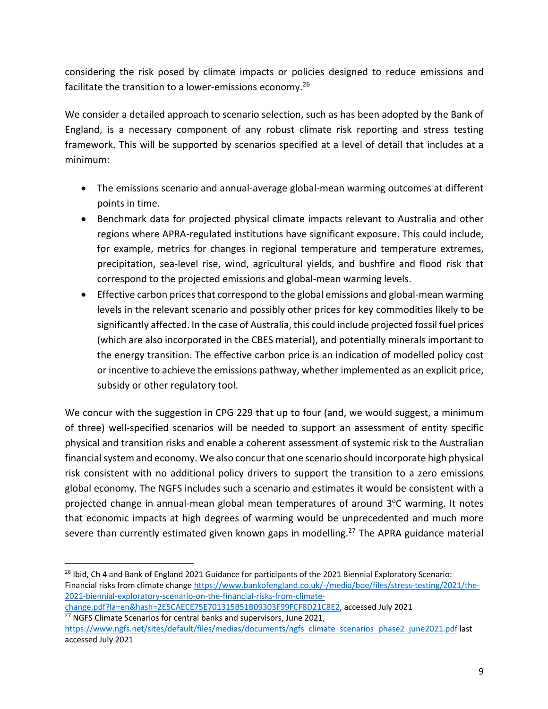considering the risk posed by climate impacts or policies designed to reduce emissions and facilitate the transition to a lower-emissions economy.<sup>26</sup>

We consider a detailed approach to scenario selection, such as has been adopted by the Bank of England, is a necessary component of any robust climate risk reporting and stress testing framework. This will be supported by scenarios specified at a level of detail that includes at a minimum:

- The emissions scenario and annual-average global-mean warming outcomes at different points in time.
- Benchmark data for projected physical climate impacts relevant to Australia and other regions where APRA-regulated institutions have significant exposure. This could include, for example, metrics for changes in regional temperature and temperature extremes, precipitation, sea-level rise, wind, agricultural yields, and bushfire and flood risk that correspond to the projected emissions and global-mean warming levels.
- Effective carbon prices that correspond to the global emissions and global-mean warming levels in the relevant scenario and possibly other prices for key commodities likely to be significantly affected. In the case of Australia, this could include projected fossil fuel prices (which are also incorporated in the CBES material), and potentially minerals important to the energy transition. The effective carbon price is an indication of modelled policy cost or incentive to achieve the emissions pathway, whether implemented as an explicit price, subsidy or other regulatory tool.

We concur with the suggestion in CPG 229 that up to four (and, we would suggest, a minimum of three) well-specified scenarios will be needed to support an assessment of entity specific physical and transition risks and enable a coherent assessment of systemic risk to the Australian financial system and economy. We also concur that one scenario should incorporate high physical risk consistent with no additional policy drivers to support the transition to a zero emissions global economy. The NGFS includes such a scenario and estimates it would be consistent with a projected change in annual-mean global mean temperatures of around 3°C warming. It notes that economic impacts at high degrees of warming would be unprecedented and much more severe than currently estimated given known gaps in modelling.<sup>27</sup> The APRA guidance material

<sup>&</sup>lt;sup>26</sup> Ibid, Ch 4 and Bank of England 2021 Guidance for participants of the 2021 Biennial Exploratory Scenario: Financial risks from climate change https://www.bankofengland.co.uk/-/media/boe/files/stress-testing/2021/the-2021-biennial-exploratory-scenario-on-the-financial-risks-from-climate-

change.pdf?la=en&hash=2E5CAECE75E701315B51B09303F99FCF8D21C8E2, accessed July 2021 <sup>27</sup> NGFS Climate Scenarios for central banks and supervisors, June 2021,

https://www.ngfs.net/sites/default/files/medias/documents/ngfs climate scenarios phase2 june2021.pdf last accessed July 2021